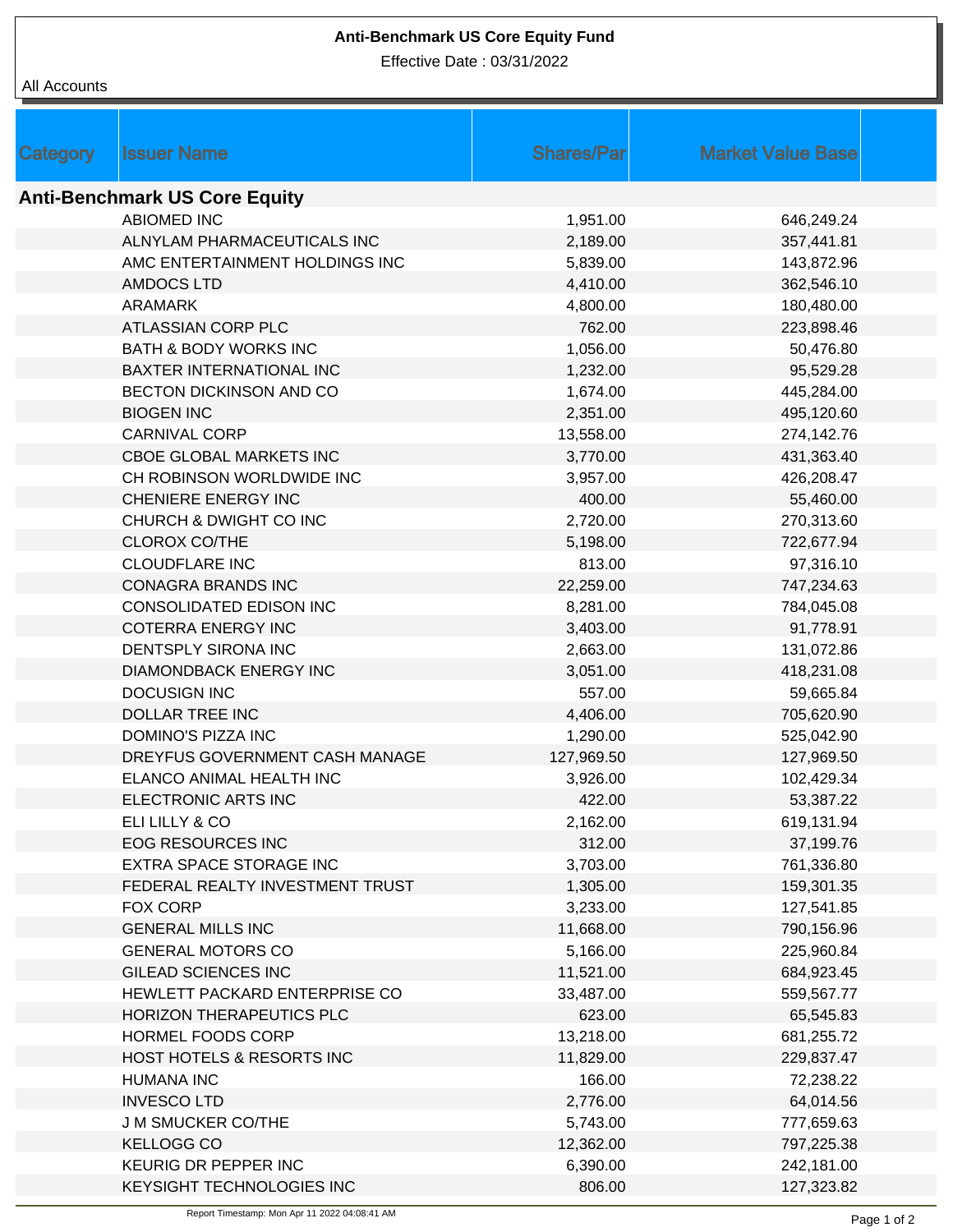## **Anti-Benchmark US Core Equity Fund**

Effective Date : 03/31/2022

## All Accounts

| Category                             | <b>Issuer Name</b>               | <b>Shares/Parl</b> | <b>Market Value Base</b> |  |  |  |  |
|--------------------------------------|----------------------------------|--------------------|--------------------------|--|--|--|--|
| <b>Anti-Benchmark US Core Equity</b> |                                  |                    |                          |  |  |  |  |
|                                      | <b>ABIOMED INC</b>               | 1,951.00           | 646,249.24               |  |  |  |  |
|                                      | ALNYLAM PHARMACEUTICALS INC      | 2,189.00           | 357,441.81               |  |  |  |  |
|                                      | AMC ENTERTAINMENT HOLDINGS INC   | 5,839.00           | 143,872.96               |  |  |  |  |
|                                      | <b>AMDOCS LTD</b>                | 4,410.00           | 362,546.10               |  |  |  |  |
|                                      | <b>ARAMARK</b>                   | 4,800.00           | 180,480.00               |  |  |  |  |
|                                      | ATLASSIAN CORP PLC               | 762.00             | 223,898.46               |  |  |  |  |
|                                      | <b>BATH &amp; BODY WORKS INC</b> | 1,056.00           | 50,476.80                |  |  |  |  |
|                                      | BAXTER INTERNATIONAL INC         | 1,232.00           | 95,529.28                |  |  |  |  |
|                                      | BECTON DICKINSON AND CO          | 1,674.00           | 445,284.00               |  |  |  |  |
|                                      | <b>BIOGEN INC</b>                | 2,351.00           | 495,120.60               |  |  |  |  |
|                                      | <b>CARNIVAL CORP</b>             | 13,558.00          | 274,142.76               |  |  |  |  |
|                                      | CBOE GLOBAL MARKETS INC          | 3,770.00           | 431,363.40               |  |  |  |  |
|                                      | CH ROBINSON WORLDWIDE INC        | 3,957.00           | 426,208.47               |  |  |  |  |
|                                      | CHENIERE ENERGY INC              | 400.00             | 55,460.00                |  |  |  |  |
|                                      | CHURCH & DWIGHT CO INC           | 2,720.00           | 270,313.60               |  |  |  |  |
|                                      | <b>CLOROX CO/THE</b>             | 5,198.00           | 722,677.94               |  |  |  |  |
|                                      | <b>CLOUDFLARE INC</b>            | 813.00             | 97,316.10                |  |  |  |  |
|                                      | <b>CONAGRA BRANDS INC</b>        | 22,259.00          | 747,234.63               |  |  |  |  |
|                                      | CONSOLIDATED EDISON INC          | 8,281.00           | 784,045.08               |  |  |  |  |
|                                      | <b>COTERRA ENERGY INC</b>        | 3,403.00           | 91,778.91                |  |  |  |  |
|                                      | DENTSPLY SIRONA INC              | 2,663.00           | 131,072.86               |  |  |  |  |
|                                      | <b>DIAMONDBACK ENERGY INC</b>    | 3,051.00           | 418,231.08               |  |  |  |  |
|                                      | <b>DOCUSIGN INC</b>              | 557.00             | 59,665.84                |  |  |  |  |
|                                      | <b>DOLLAR TREE INC</b>           | 4,406.00           | 705,620.90               |  |  |  |  |
|                                      | DOMINO'S PIZZA INC               | 1,290.00           | 525,042.90               |  |  |  |  |
|                                      | DREYFUS GOVERNMENT CASH MANAGE   | 127,969.50         | 127,969.50               |  |  |  |  |
|                                      | ELANCO ANIMAL HEALTH INC         | 3,926.00           | 102,429.34               |  |  |  |  |
|                                      | ELECTRONIC ARTS INC              | 422.00             | 53,387.22                |  |  |  |  |
|                                      | ELI LILLY & CO                   | 2,162.00           | 619,131.94               |  |  |  |  |
|                                      | <b>EOG RESOURCES INC</b>         | 312.00             | 37,199.76                |  |  |  |  |
|                                      | <b>EXTRA SPACE STORAGE INC</b>   | 3,703.00           | 761,336.80               |  |  |  |  |
|                                      | FEDERAL REALTY INVESTMENT TRUST  | 1,305.00           | 159,301.35               |  |  |  |  |
|                                      | FOX CORP                         | 3,233.00           | 127,541.85               |  |  |  |  |
|                                      | <b>GENERAL MILLS INC</b>         | 11,668.00          | 790,156.96               |  |  |  |  |
|                                      | <b>GENERAL MOTORS CO</b>         | 5,166.00           | 225,960.84               |  |  |  |  |
|                                      | <b>GILEAD SCIENCES INC</b>       | 11,521.00          | 684,923.45               |  |  |  |  |
|                                      | HEWLETT PACKARD ENTERPRISE CO    | 33,487.00          | 559,567.77               |  |  |  |  |
|                                      | HORIZON THERAPEUTICS PLC         | 623.00             | 65,545.83                |  |  |  |  |
|                                      | HORMEL FOODS CORP                | 13,218.00          | 681,255.72               |  |  |  |  |
|                                      | HOST HOTELS & RESORTS INC        | 11,829.00          | 229,837.47               |  |  |  |  |
|                                      | <b>HUMANA INC</b>                | 166.00             | 72,238.22                |  |  |  |  |
|                                      | <b>INVESCOLTD</b>                | 2,776.00           | 64,014.56                |  |  |  |  |
|                                      | <b>J M SMUCKER CO/THE</b>        | 5,743.00           | 777,659.63               |  |  |  |  |
|                                      | <b>KELLOGG CO</b>                | 12,362.00          | 797,225.38               |  |  |  |  |
|                                      | KEURIG DR PEPPER INC             | 6,390.00           | 242,181.00               |  |  |  |  |
|                                      | KEYSIGHT TECHNOLOGIES INC        | 806.00             | 127,323.82               |  |  |  |  |
|                                      |                                  |                    |                          |  |  |  |  |